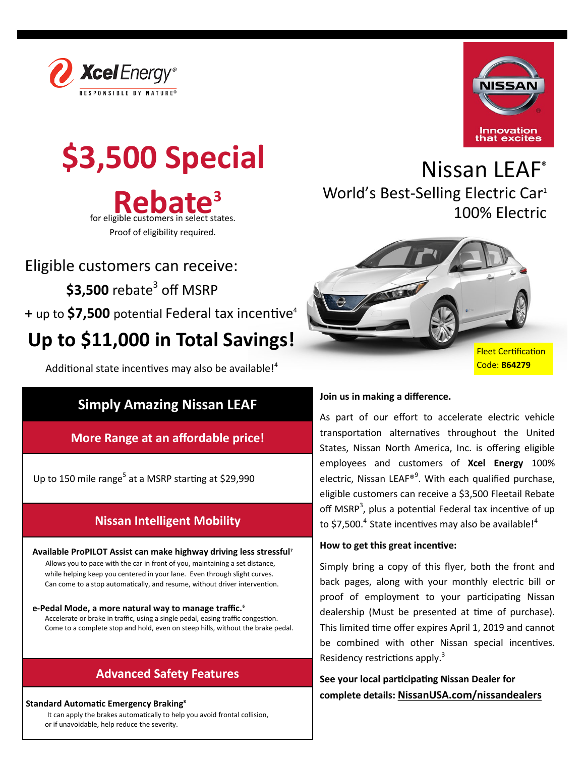



# **\$3,500 Special**

**Rebate<sup>3</sup>**<br>for eligible customers in select states. Proof of eligibility required.

Eligible customers can receive:

**\$3,500** rebate<sup>3</sup> off MSRP

**+** up to **\$7,500** potential Federal tax incentive<sup>4</sup>

## **Up to \$11,000 in Total Savings!**

Additional state incentives may also be available!<sup>4</sup>

## **Simply Amazing Nissan LEAF**

**More Range at an affordable price!**

Up to 150 mile range<sup>5</sup> at a MSRP starting at \$29,990

## **Nissan Intelligent Mobility**

 **Available ProPILOT Assist can make highway driving less stressful<sup>7</sup>** Allows you to pace with the car in front of you, maintaining a set distance, while helping keep you centered in your lane. Even through slight curves. Can come to a stop automatically, and resume, without driver intervention.

 **e-Pedal Mode, a more natural way to manage traffic.<sup>6</sup>** Accelerate or brake in traffic, using a single pedal, easing traffic congestion. Come to a complete stop and hold, even on steep hills, without the brake pedal.

## **Advanced Safety Features**

#### **Standard Automatic Emergency Braking<sup>8</sup>**

It can apply the brakes automatically to help you avoid frontal collision, or if unavoidable, help reduce the severity.





#### **Join us in making a difference.**

As part of our effort to accelerate electric vehicle transportation alternatives throughout the United States, Nissan North America, Inc. is offering eligible employees and customers of **Xcel Energy** 100% electric, Nissan LEAF®<sup>9</sup>. With each qualified purchase, eligible customers can receive a \$3,500 Fleetail Rebate off MSRP<sup>3</sup>, plus a potential Federal tax incentive of up to \$7,500. $4$  State incentives may also be available! $4$ 

#### **How to get this great incentive:**

Simply bring a copy of this flyer, both the front and back pages, along with your monthly electric bill or proof of employment to your participating Nissan dealership (Must be presented at time of purchase). This limited time offer expires April 1, 2019 and cannot be combined with other Nissan special incentives. Residency restrictions apply.<sup>3</sup>

**See your local participating Nissan Dealer for complete details: [NissanUSA.com/nissandealers](https://www.nissanusa.com/nissandealers/)**